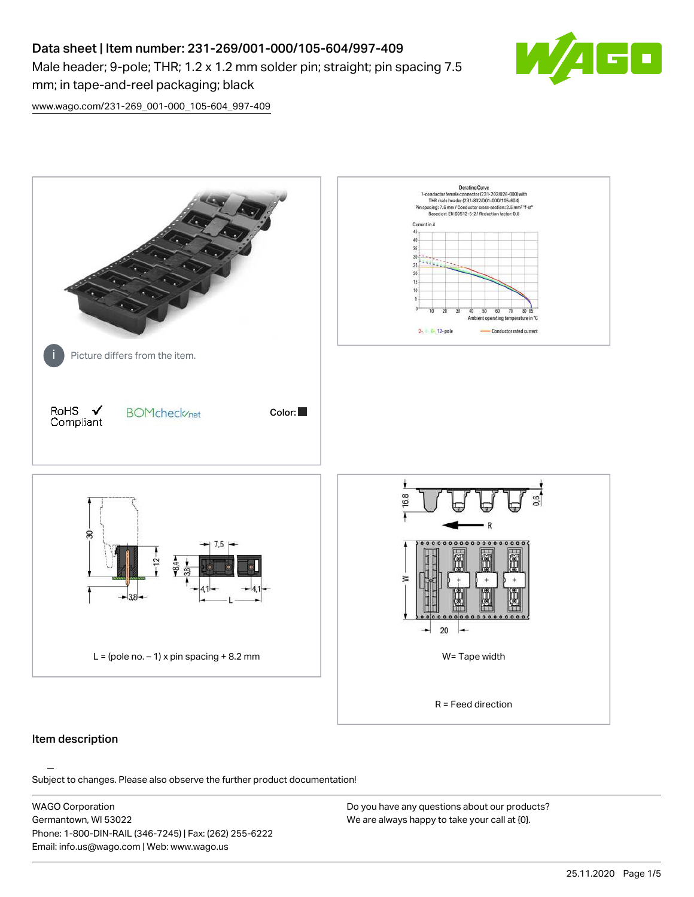# Data sheet | Item number: 231-269/001-000/105-604/997-409 Male header; 9-pole; THR; 1.2 x 1.2 mm solder pin; straight; pin spacing 7.5 mm; in tape-and-reel packaging; black



[www.wago.com/231-269\\_001-000\\_105-604\\_997-409](http://www.wago.com/231-269_001-000_105-604_997-409)



### Item description

Subject to changes. Please also observe the further product documentation!

WAGO Corporation Germantown, WI 53022 Phone: 1-800-DIN-RAIL (346-7245) | Fax: (262) 255-6222 Email: info.us@wago.com | Web: www.wago.us

Do you have any questions about our products? We are always happy to take your call at {0}.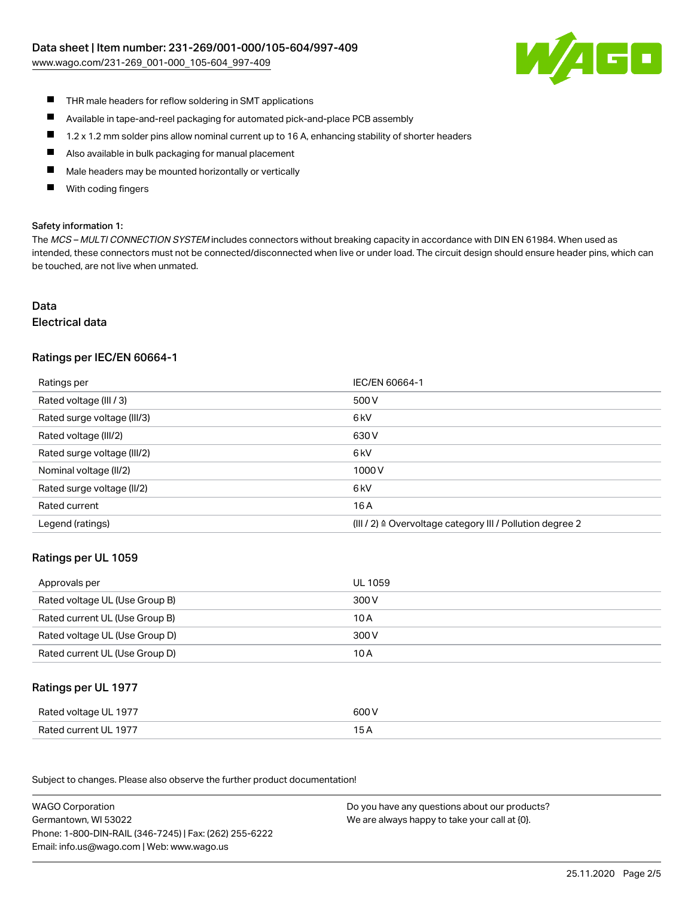[www.wago.com/231-269\\_001-000\\_105-604\\_997-409](http://www.wago.com/231-269_001-000_105-604_997-409)



- $\blacksquare$ THR male headers for reflow soldering in SMT applications
- $\blacksquare$ Available in tape-and-reel packaging for automated pick-and-place PCB assembly
- $\blacksquare$ 1.2 x 1.2 mm solder pins allow nominal current up to 16 A, enhancing stability of shorter headers
- $\blacksquare$ Also available in bulk packaging for manual placement
- П Male headers may be mounted horizontally or vertically
- With coding fingers П

#### Safety information 1:

The MCS - MULTI CONNECTION SYSTEM includes connectors without breaking capacity in accordance with DIN EN 61984. When used as intended, these connectors must not be connected/disconnected when live or under load. The circuit design should ensure header pins, which can be touched, are not live when unmated.

# Data

#### Electrical data

## Ratings per IEC/EN 60664-1

| Ratings per                 | IEC/EN 60664-1                                            |
|-----------------------------|-----------------------------------------------------------|
| Rated voltage (III / 3)     | 500 V                                                     |
| Rated surge voltage (III/3) | 6 <sub>k</sub> V                                          |
| Rated voltage (III/2)       | 630 V                                                     |
| Rated surge voltage (III/2) | 6 <sub>k</sub> V                                          |
| Nominal voltage (II/2)      | 1000V                                                     |
| Rated surge voltage (II/2)  | 6 <sub>k</sub> V                                          |
| Rated current               | 16 A                                                      |
| Legend (ratings)            | (III / 2) ≙ Overvoltage category III / Pollution degree 2 |

### Ratings per UL 1059

| Approvals per                  | UL 1059 |
|--------------------------------|---------|
| Rated voltage UL (Use Group B) | 300 V   |
| Rated current UL (Use Group B) | 10 A    |
| Rated voltage UL (Use Group D) | 300 V   |
| Rated current UL (Use Group D) | 10 A    |

### Ratings per UL 1977

| Rated voltage UL 1977 | 600 V |
|-----------------------|-------|
| Rated current UL 1977 |       |

Subject to changes. Please also observe the further product documentation! Ratings per CSA

| <b>WAGO Corporation</b>                                | Do you have any questions about our products? |
|--------------------------------------------------------|-----------------------------------------------|
| Germantown, WI 53022                                   | We are always happy to take your call at {0}. |
| Phone: 1-800-DIN-RAIL (346-7245)   Fax: (262) 255-6222 |                                               |
| Email: info.us@wago.com   Web: www.wago.us             |                                               |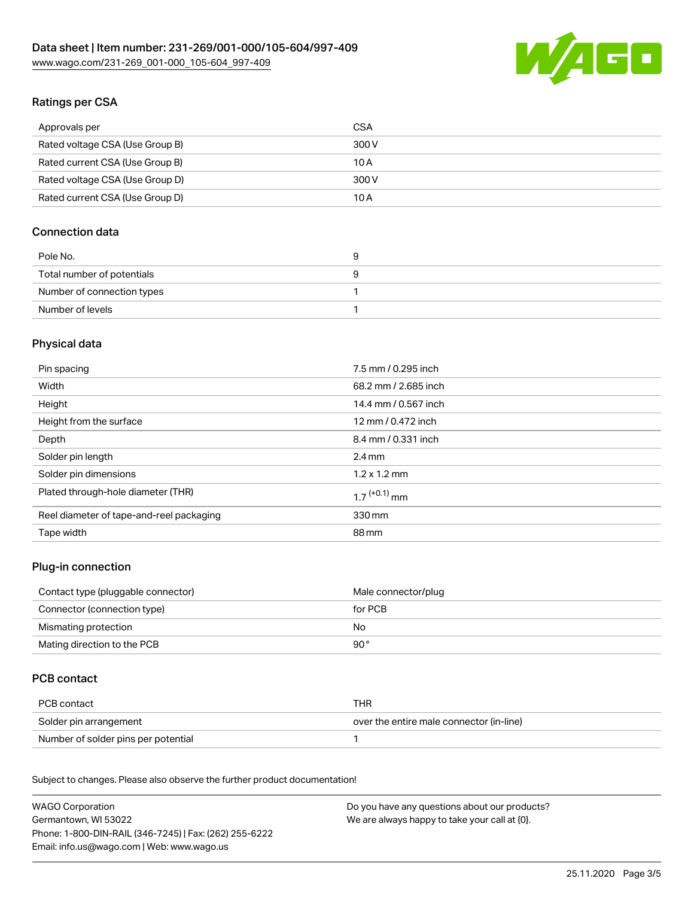

# Ratings per CSA

| Approvals per                   | CSA   |
|---------------------------------|-------|
| Rated voltage CSA (Use Group B) | 300 V |
| Rated current CSA (Use Group B) | 10 A  |
| Rated voltage CSA (Use Group D) | 300 V |
| Rated current CSA (Use Group D) | 10 A  |

## Connection data

| Pole No.                   |  |
|----------------------------|--|
| Total number of potentials |  |
| Number of connection types |  |
| Number of levels           |  |

# Physical data

| Pin spacing                              | 7.5 mm / 0.295 inch        |
|------------------------------------------|----------------------------|
| Width                                    | 68.2 mm / 2.685 inch       |
| Height                                   | 14.4 mm / 0.567 inch       |
| Height from the surface                  | 12 mm / 0.472 inch         |
| Depth                                    | 8.4 mm / 0.331 inch        |
| Solder pin length                        | $2.4 \text{ mm}$           |
| Solder pin dimensions                    | $1.2 \times 1.2$ mm        |
| Plated through-hole diameter (THR)       | $1.7$ <sup>(+0.1)</sup> mm |
| Reel diameter of tape-and-reel packaging | 330 mm                     |
| Tape width                               | 88 mm                      |

### Plug-in connection

| Contact type (pluggable connector) | Male connector/plug |
|------------------------------------|---------------------|
| Connector (connection type)        | for PCB             |
| Mismating protection               | No.                 |
| Mating direction to the PCB        | 90 °                |

# PCB contact

| PCB contact                         | THR                                      |
|-------------------------------------|------------------------------------------|
| Solder pin arrangement              | over the entire male connector (in-line) |
| Number of solder pins per potential |                                          |

Subject to changes. Please also observe the further product documentation! Material Data

| <b>WAGO Corporation</b>                                | Do you have any questions about our products? |
|--------------------------------------------------------|-----------------------------------------------|
| Germantown, WI 53022                                   | We are always happy to take your call at {0}. |
| Phone: 1-800-DIN-RAIL (346-7245)   Fax: (262) 255-6222 |                                               |
| Email: info.us@wago.com   Web: www.wago.us             |                                               |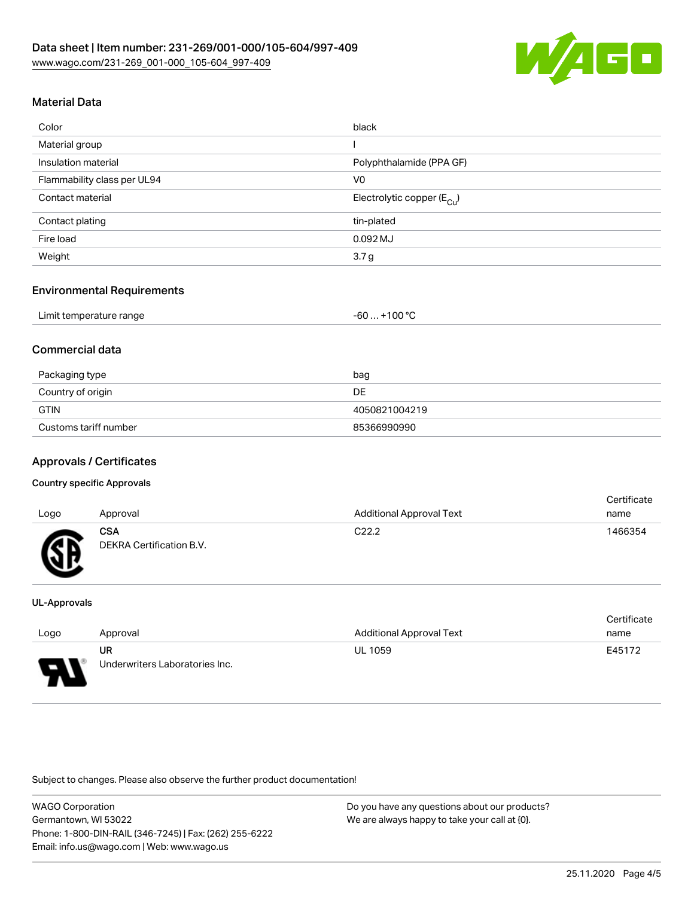

# Material Data

| Color                       | black                                 |
|-----------------------------|---------------------------------------|
| Material group              |                                       |
| Insulation material         | Polyphthalamide (PPA GF)              |
| Flammability class per UL94 | V <sub>0</sub>                        |
| Contact material            | Electrolytic copper $(E_{\text{Cl}})$ |
| Contact plating             | tin-plated                            |
| Fire load                   | $0.092$ MJ                            |
| Weight                      | 3.7 <sub>g</sub>                      |

### Environmental Requirements

### Commercial data

| Packaging type        | bag           |
|-----------------------|---------------|
| Country of origin     | DE.           |
| <b>GTIN</b>           | 4050821004219 |
| Customs tariff number | 85366990990   |

### Approvals / Certificates

#### Country specific Approvals

| Logo | Approval                               | <b>Additional Approval Text</b> | <b>Certificate</b><br>name |
|------|----------------------------------------|---------------------------------|----------------------------|
| Гπ   | <b>CSA</b><br>DEKRA Certification B.V. | C <sub>22.2</sub>               | 1466354                    |

#### UL-Approvals

|      |                                |                                 | Certificate |
|------|--------------------------------|---------------------------------|-------------|
| Logo | Approval                       | <b>Additional Approval Text</b> | name        |
|      | UR                             | <b>UL 1059</b>                  | E45172      |
| L    | Underwriters Laboratories Inc. |                                 |             |

Subject to changes. Please also observe the further product documentation!

WAGO Corporation Germantown, WI 53022 Phone: 1-800-DIN-RAIL (346-7245) | Fax: (262) 255-6222 Email: info.us@wago.com | Web: www.wago.us

Do you have any questions about our products? We are always happy to take your call at {0}.

Certificate